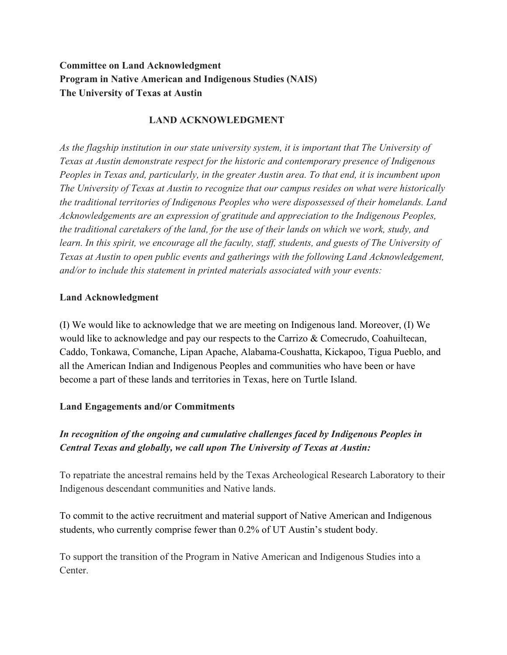# **Committee on Land Acknowledgment Program in Native American and Indigenous Studies (NAIS) The University of Texas at Austin**

### **LAND ACKNOWLEDGMENT**

*As the flagship institution in our state university system, it is important that The University of Texas at Austin demonstrate respect for the historic and contemporary presence of Indigenous Peoples in Texas and, particularly, in the greater Austin area. To that end, it is incumbent upon The University of Texas at Austin to recognize that our campus resides on what were historically the traditional territories of Indigenous Peoples who were dispossessed of their homelands. Land Acknowledgements are an expression of gratitude and appreciation to the Indigenous Peoples, the traditional caretakers of the land, for the use of their lands on which we work, study, and learn. In this spirit, we encourage all the faculty, staff, students, and guests of The University of Texas at Austin to open public events and gatherings with the following Land Acknowledgement, and/or to include this statement in printed materials associated with your events:*

#### **Land Acknowledgment**

(I) We would like to acknowledge that we are meeting on Indigenous land. Moreover, (I) We would like to acknowledge and pay our respects to the Carrizo  $\&$  Comecrudo, Coahuiltecan, Caddo, Tonkawa, Comanche, Lipan Apache, Alabama-Coushatta, Kickapoo, Tigua Pueblo, and all the American Indian and Indigenous Peoples and communities who have been or have become a part of these lands and territories in Texas, here on Turtle Island.

#### **Land Engagements and/or Commitments**

# *In recognition of the ongoing and cumulative challenges faced by Indigenous Peoples in Central Texas and globally, we call upon The University of Texas at Austin:*

To repatriate the ancestral remains held by the Texas Archeological Research Laboratory to their Indigenous descendant communities and Native lands.

To commit to the active recruitment and material support of Native American and Indigenous students, who currently comprise fewer than 0.2% of UT Austin's student body.

To support the transition of the Program in Native American and Indigenous Studies into a Center.